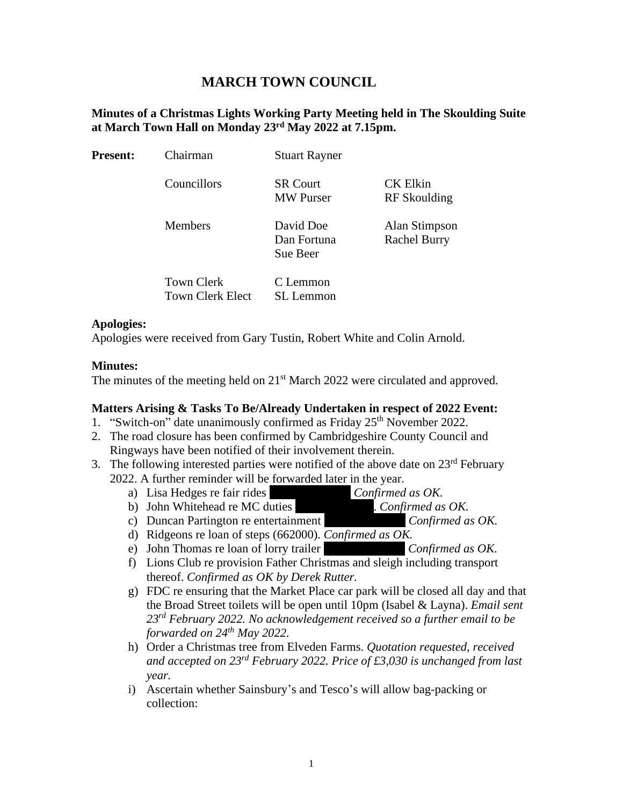# **MARCH TOWN COUNCIL**

## **Minutes of a Christmas Lights Working Party Meeting held in The Skoulding Suite at March Town Hall on Monday 23 rd May 2022 at 7.15pm.**

| <b>Present:</b> | Chairman                                     | <b>Stuart Rayner</b>                 |                                      |
|-----------------|----------------------------------------------|--------------------------------------|--------------------------------------|
|                 | Councillors                                  | <b>SR Court</b><br><b>MW</b> Purser  | CK Elkin<br>RF Skoulding             |
|                 | <b>Members</b>                               | David Doe<br>Dan Fortuna<br>Sue Beer | Alan Stimpson<br><b>Rachel Burry</b> |
|                 | <b>Town Clerk</b><br><b>Town Clerk Elect</b> | C Lemmon<br>SL Lemmon                |                                      |

#### **Apologies:**

Apologies were received from Gary Tustin, Robert White and Colin Arnold.

#### **Minutes:**

The minutes of the meeting held on 21<sup>st</sup> March 2022 were circulated and approved.

## **Matters Arising & Tasks To Be/Already Undertaken in respect of 2022 Event:**

- 1. "Switch-on" date unanimously confirmed as Friday 25<sup>th</sup> November 2022.
- 2. The road closure has been confirmed by Cambridgeshire County Council and Ringways have been notified of their involvement therein.
- 3. The following interested parties were notified of the above date on  $23<sup>rd</sup>$  February 2022. A further reminder will be forwarded later in the year.
	-
	- a) Lisa Hedges re fair rides (076) Confirmed as OK.<br>
	b) John Whitehead re MC duties (076). Confirmed as OK.
	- b) John Whitehead re MC duties (1789). Company Dartinoton re entertainment c) Duncan Partington re entertainment *Confirmed as OK*.
	- d) Ridgeons re loan of steps (662000). *Confirmed as OK.*
	- e) John Thomas re loan of lorry trailer (*Confirmed as OK.*
	- f) Lions Club re provision Father Christmas and sleigh including transport thereof. *Confirmed as OK by Derek Rutter.*
	- g) FDC re ensuring that the Market Place car park will be closed all day and that the Broad Street toilets will be open until 10pm (Isabel & Layna). *Email sent 23rd February 2022. No acknowledgement received so a further email to be forwarded on 24th May 2022.*
	- h) Order a Christmas tree from Elveden Farms. *Quotation requested, received and accepted on 23rd February 2022. Price of £3,030 is unchanged from last year.*
	- i) Ascertain whether Sainsbury's and Tesco's will allow bag-packing or collection: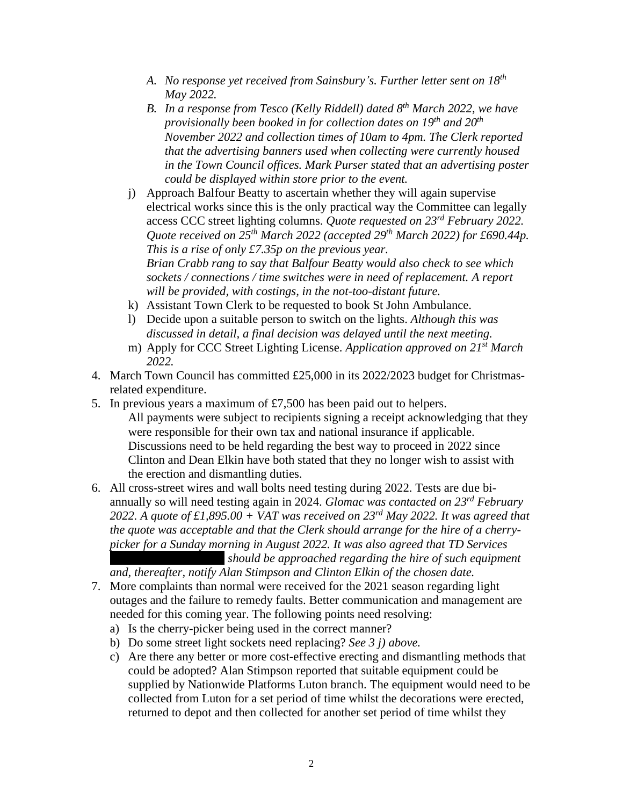- *A. No response yet received from Sainsbury's. Further letter sent on 18th May 2022.*
- *B. In a response from Tesco (Kelly Riddell) dated 8th March 2022, we have provisionally been booked in for collection dates on 19th and 20th November 2022 and collection times of 10am to 4pm. The Clerk reported that the advertising banners used when collecting were currently housed in the Town Council offices. Mark Purser stated that an advertising poster could be displayed within store prior to the event.*
- j) Approach Balfour Beatty to ascertain whether they will again supervise electrical works since this is the only practical way the Committee can legally access CCC street lighting columns. *Quote requested on 23rd February 2022. Quote received on 25th March 2022 (accepted 29th March 2022) for £690.44p. This is a rise of only £7.35p on the previous year. Brian Crabb rang to say that Balfour Beatty would also check to see which sockets / connections / time switches were in need of replacement. A report will be provided, with costings, in the not-too-distant future.*
- k) Assistant Town Clerk to be requested to book St John Ambulance.
- l) Decide upon a suitable person to switch on the lights. *Although this was discussed in detail, a final decision was delayed until the next meeting.*
- m) Apply for CCC Street Lighting License. *Application approved on 21st March 2022.*
- 4. March Town Council has committed £25,000 in its 2022/2023 budget for Christmasrelated expenditure.
- 5. In previous years a maximum of £7,500 has been paid out to helpers. All payments were subject to recipients signing a receipt acknowledging that they were responsible for their own tax and national insurance if applicable. Discussions need to be held regarding the best way to proceed in 2022 since Clinton and Dean Elkin have both stated that they no longer wish to assist with

the erection and dismantling duties.

6. All cross-street wires and wall bolts need testing during 2022. Tests are due biannually so will need testing again in 2024. *Glomac was contacted on 23rd February 2022. A quote of £1,895.00 + VAT was received on 23rd May 2022. It was agreed that the quote was acceptable and that the Clerk should arrange for the hire of a cherrypicker for a Sunday morning in August 2022. It was also agreed that TD Services* 

*(Tould be approached regarding the hire of such equipment and, thereafter, notify Alan Stimpson and Clinton Elkin of the chosen date.*

- 7. More complaints than normal were received for the 2021 season regarding light outages and the failure to remedy faults. Better communication and management are needed for this coming year. The following points need resolving:
	- a) Is the cherry-picker being used in the correct manner?
	- b) Do some street light sockets need replacing? *See 3 j) above.*
	- c) Are there any better or more cost-effective erecting and dismantling methods that could be adopted? Alan Stimpson reported that suitable equipment could be supplied by Nationwide Platforms Luton branch. The equipment would need to be collected from Luton for a set period of time whilst the decorations were erected, returned to depot and then collected for another set period of time whilst they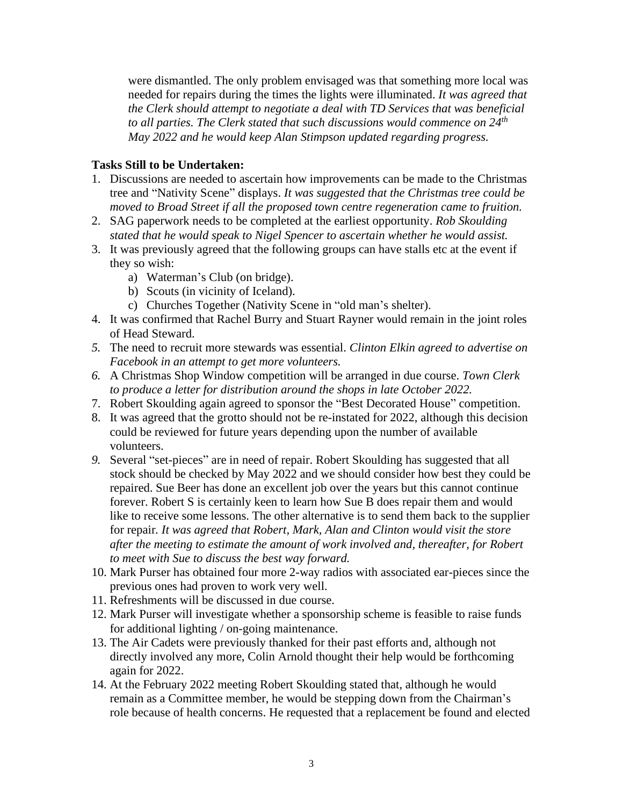were dismantled. The only problem envisaged was that something more local was needed for repairs during the times the lights were illuminated. *It was agreed that the Clerk should attempt to negotiate a deal with TD Services that was beneficial to all parties. The Clerk stated that such discussions would commence on 24th May 2022 and he would keep Alan Stimpson updated regarding progress.*

# **Tasks Still to be Undertaken:**

- 1. Discussions are needed to ascertain how improvements can be made to the Christmas tree and "Nativity Scene" displays. *It was suggested that the Christmas tree could be moved to Broad Street if all the proposed town centre regeneration came to fruition.*
- 2. SAG paperwork needs to be completed at the earliest opportunity. *Rob Skoulding stated that he would speak to Nigel Spencer to ascertain whether he would assist.*
- 3. It was previously agreed that the following groups can have stalls etc at the event if they so wish:
	- a) Waterman's Club (on bridge).
	- b) Scouts (in vicinity of Iceland).
	- c) Churches Together (Nativity Scene in "old man's shelter).
- 4. It was confirmed that Rachel Burry and Stuart Rayner would remain in the joint roles of Head Steward.
- *5.* The need to recruit more stewards was essential. *Clinton Elkin agreed to advertise on Facebook in an attempt to get more volunteers.*
- *6.* A Christmas Shop Window competition will be arranged in due course. *Town Clerk to produce a letter for distribution around the shops in late October 2022.*
- 7. Robert Skoulding again agreed to sponsor the "Best Decorated House" competition.
- 8. It was agreed that the grotto should not be re-instated for 2022, although this decision could be reviewed for future years depending upon the number of available volunteers.
- *9.* Several "set-pieces" are in need of repair. Robert Skoulding has suggested that all stock should be checked by May 2022 and we should consider how best they could be repaired. Sue Beer has done an excellent job over the years but this cannot continue forever. Robert S is certainly keen to learn how Sue B does repair them and would like to receive some lessons. The other alternative is to send them back to the supplier for repair*. It was agreed that Robert, Mark, Alan and Clinton would visit the store after the meeting to estimate the amount of work involved and, thereafter, for Robert to meet with Sue to discuss the best way forward.*
- 10. Mark Purser has obtained four more 2-way radios with associated ear-pieces since the previous ones had proven to work very well.
- 11. Refreshments will be discussed in due course.
- 12. Mark Purser will investigate whether a sponsorship scheme is feasible to raise funds for additional lighting / on-going maintenance.
- 13. The Air Cadets were previously thanked for their past efforts and, although not directly involved any more, Colin Arnold thought their help would be forthcoming again for 2022.
- 14. At the February 2022 meeting Robert Skoulding stated that, although he would remain as a Committee member, he would be stepping down from the Chairman's role because of health concerns. He requested that a replacement be found and elected